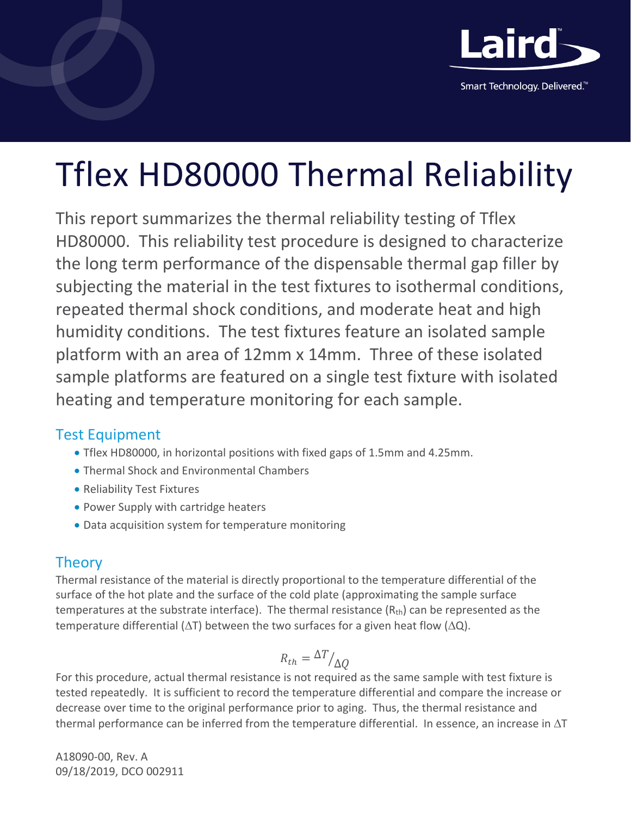

Smart Technology. Delivered.<sup>™</sup>

# Tflex HD80000 Thermal Reliability

This report summarizes the thermal reliability testing of Tflex HD80000. This reliability test procedure is designed to characterize the long term performance of the dispensable thermal gap filler by subjecting the material in the test fixtures to isothermal conditions, repeated thermal shock conditions, and moderate heat and high humidity conditions. The test fixtures feature an isolated sample platform with an area of 12mm x 14mm. Three of these isolated sample platforms are featured on a single test fixture with isolated heating and temperature monitoring for each sample.

## Test Equipment

- Tflex HD80000, in horizontal positions with fixed gaps of 1.5mm and 4.25mm.
- Thermal Shock and Environmental Chambers
- Reliability Test Fixtures
- Power Supply with cartridge heaters
- Data acquisition system for temperature monitoring

## **Theory**

Thermal resistance of the material is directly proportional to the temperature differential of the surface of the hot plate and the surface of the cold plate (approximating the sample surface temperatures at the substrate interface). The thermal resistance  $(R<sub>th</sub>)$  can be represented as the temperature differential ( $\Delta T$ ) between the two surfaces for a given heat flow ( $\Delta Q$ ).

$$
R_{th} = \frac{\Delta T}{\Delta Q}
$$

For this procedure, actual thermal resistance is not required as the same sample with test fixture is tested repeatedly. It is sufficient to record the temperature differential and compare the increase or decrease over time to the original performance prior to aging. Thus, the thermal resistance and thermal performance can be inferred from the temperature differential. In essence, an increase in  $\Delta T$ 

A18090-00, Rev. A 09/18/2019, DCO 002911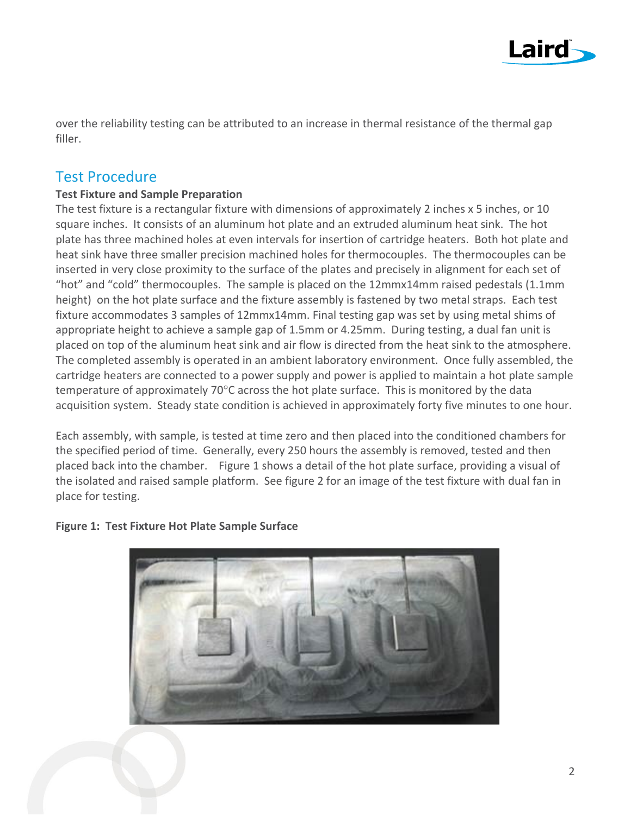

over the reliability testing can be attributed to an increase in thermal resistance of the thermal gap filler.

## Test Procedure

### **Test Fixture and Sample Preparation**

The test fixture is a rectangular fixture with dimensions of approximately 2 inches x 5 inches, or 10 square inches. It consists of an aluminum hot plate and an extruded aluminum heat sink. The hot plate has three machined holes at even intervals for insertion of cartridge heaters. Both hot plate and heat sink have three smaller precision machined holes for thermocouples. The thermocouples can be inserted in very close proximity to the surface of the plates and precisely in alignment for each set of "hot" and "cold" thermocouples. The sample is placed on the 12mmx14mm raised pedestals (1.1mm height) on the hot plate surface and the fixture assembly is fastened by two metal straps. Each test fixture accommodates 3 samples of 12mmx14mm. Final testing gap was set by using metal shims of appropriate height to achieve a sample gap of 1.5mm or 4.25mm. During testing, a dual fan unit is placed on top of the aluminum heat sink and air flow is directed from the heat sink to the atmosphere. The completed assembly is operated in an ambient laboratory environment. Once fully assembled, the cartridge heaters are connected to a power supply and power is applied to maintain a hot plate sample temperature of approximately 70°C across the hot plate surface. This is monitored by the data acquisition system. Steady state condition is achieved in approximately forty five minutes to one hour.

Each assembly, with sample, is tested at time zero and then placed into the conditioned chambers for the specified period of time. Generally, every 250 hours the assembly is removed, tested and then placed back into the chamber. Figure 1 shows a detail of the hot plate surface, providing a visual of the isolated and raised sample platform. See figure 2 for an image of the test fixture with dual fan in place for testing.



### **Figure 1: Test Fixture Hot Plate Sample Surface**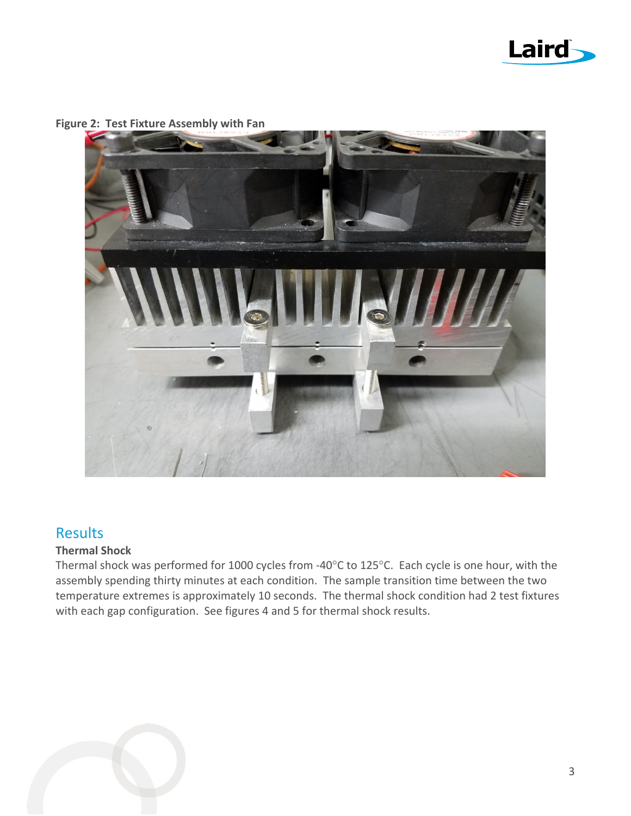



**Figure 2: Test Fixture Assembly with Fan**

## **Results**

#### **Thermal Shock**

Thermal shock was performed for 1000 cycles from -40°C to 125°C. Each cycle is one hour, with the assembly spending thirty minutes at each condition. The sample transition time between the two temperature extremes is approximately 10 seconds. The thermal shock condition had 2 test fixtures with each gap configuration. See figures 4 and 5 for thermal shock results.

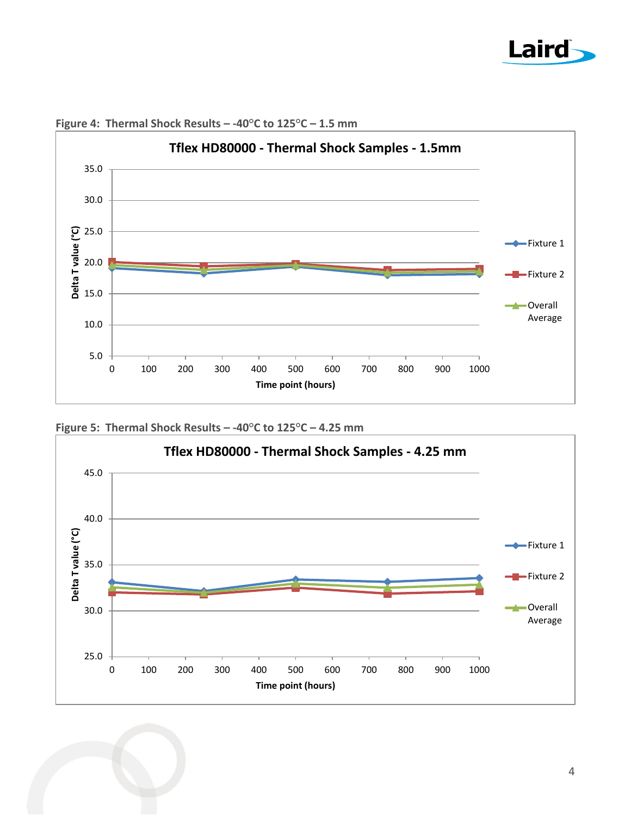



**Figure 4: Thermal Shock Results – -40°C to 125°C – 1.5 mm**

**Figure 5: Thermal Shock Results – -40°C to 125°C – 4.25 mm**

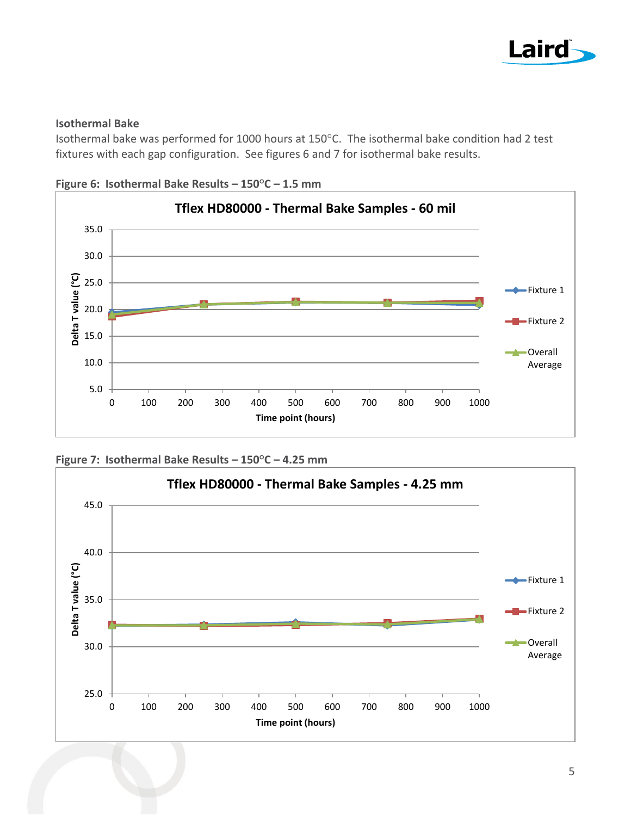

#### **Isothermal Bake**

Isothermal bake was performed for 1000 hours at 150°C. The isothermal bake condition had 2 test fixtures with each gap configuration. See figures 6 and 7 for isothermal bake results.







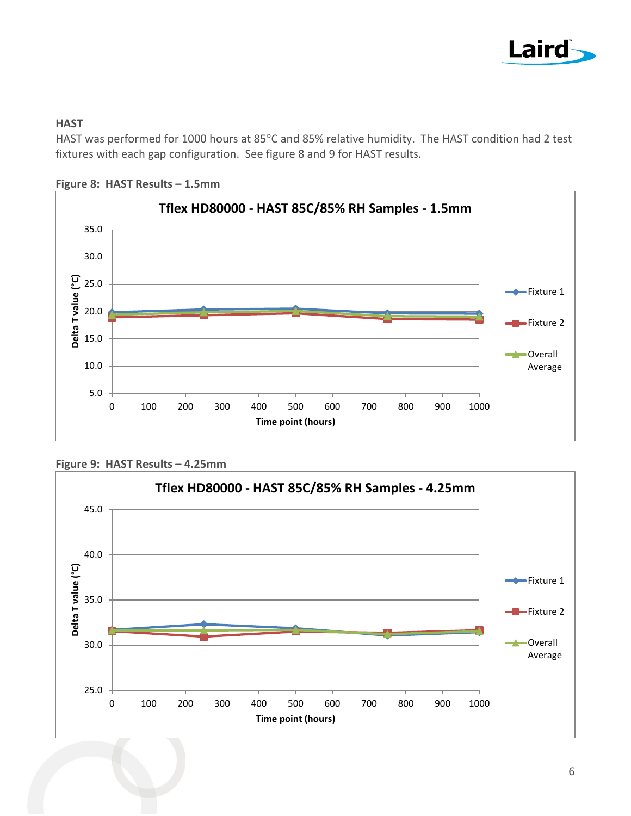

#### **HAST**

HAST was performed for 1000 hours at 85°C and 85% relative humidity. The HAST condition had 2 test fixtures with each gap configuration. See figure 8 and 9 for HAST results.



**Figure 8: HAST Results – 1.5mm**